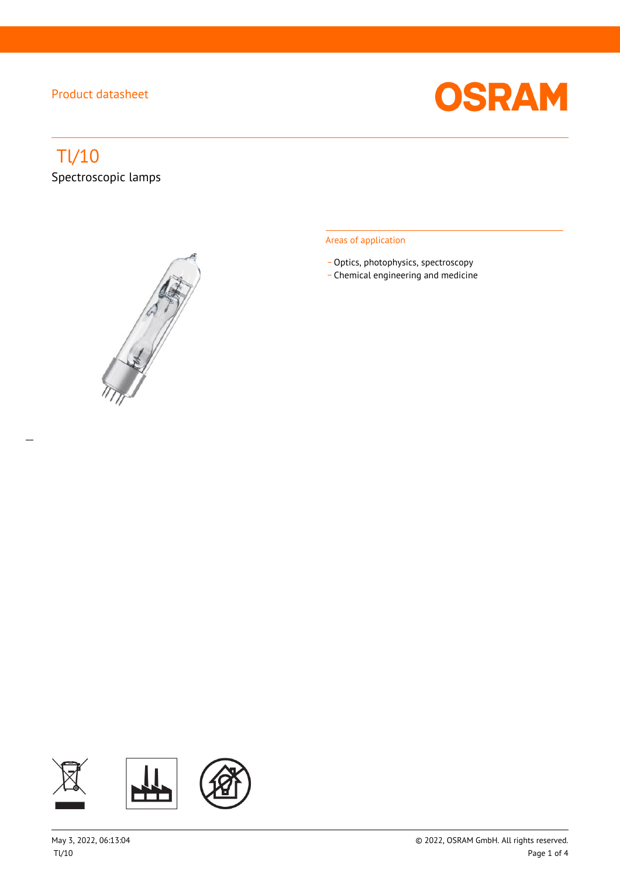

# Tl/10

 $\overline{a}$ 

Spectroscopic lamps



#### Areas of application

- Optics, photophysics, spectroscopy
- \_ Chemical engineering and medicine

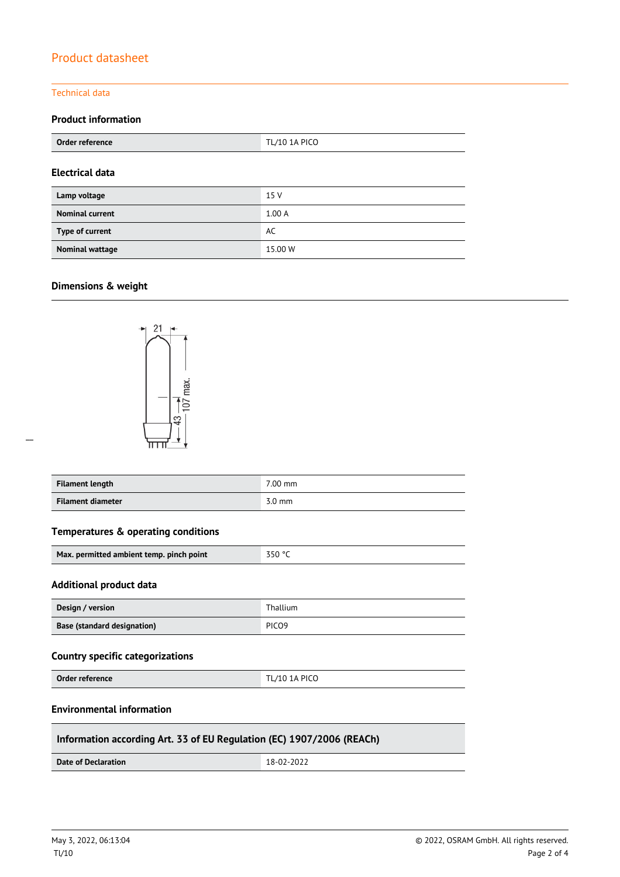#### Technical data

#### **Product information**

| Order reference        | <b>TL/10 1A PICO</b> |  |
|------------------------|----------------------|--|
| <b>Electrical data</b> |                      |  |
| Lamp voltage           | 15 V                 |  |
| <b>Nominal current</b> | 1.00A                |  |
| Type of current        | AC                   |  |
| <b>Nominal wattage</b> | 15.00 W              |  |

### **Dimensions & weight**

 $\overline{a}$ 



| <b>Filament length</b> | 7.00 mm          |
|------------------------|------------------|
| Filament diameter      | $3.0 \text{ mm}$ |

#### **Temperatures & operating conditions**

| Max. permitted ambient temp. pinch point | 350 °C |
|------------------------------------------|--------|
|------------------------------------------|--------|

#### **Additional product data**

| Design / version                   | Thallium          |
|------------------------------------|-------------------|
| <b>Base (standard designation)</b> | PICO <sub>9</sub> |

#### **Country specific categorizations**

**Order reference** TL/10 1A PICO

#### **Environmental information**

#### **Information according Art. 33 of EU Regulation (EC) 1907/2006 (REACh)**

**Date of Declaration** 18-02-2022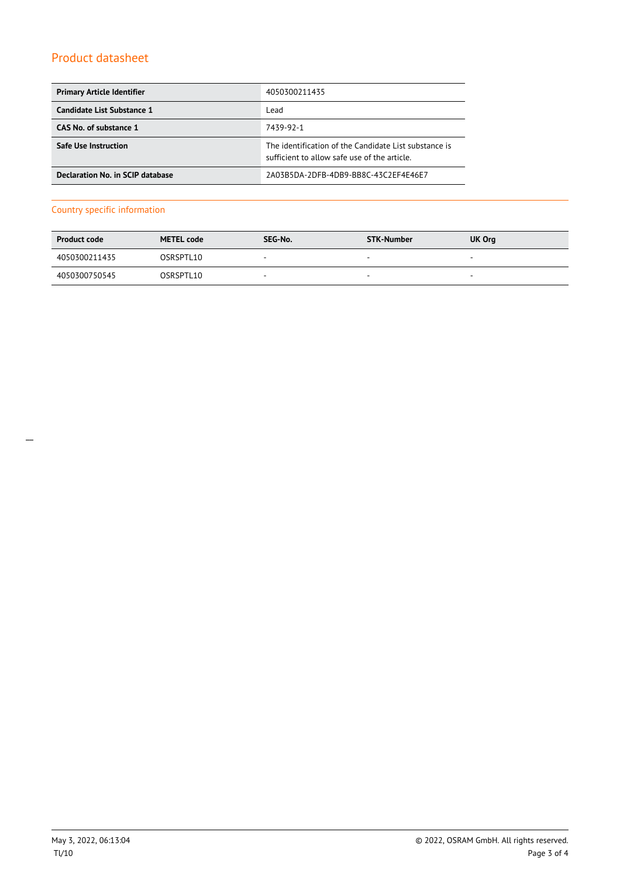| <b>Primary Article Identifier</b> | 4050300211435                                                                                         |
|-----------------------------------|-------------------------------------------------------------------------------------------------------|
| Candidate List Substance 1        | Lead                                                                                                  |
| CAS No. of substance 1            | 7439-92-1                                                                                             |
| <b>Safe Use Instruction</b>       | The identification of the Candidate List substance is<br>sufficient to allow safe use of the article. |
| Declaration No. in SCIP database  | 2A03B5DA-2DFB-4DB9-BB8C-43C2EF4E46E7                                                                  |

#### Country specific information

| <b>Product code</b> | <b>METEL code</b> | SEG-No.                  | STK-Number | UK Org                   |
|---------------------|-------------------|--------------------------|------------|--------------------------|
| 4050300211435       | OSRSPTL10         | . .                      | $\sim$     | $\overline{\phantom{a}}$ |
| 4050300750545       | OSRSPTL10         | $\overline{\phantom{a}}$ | $\sim$     | $\overline{\phantom{a}}$ |